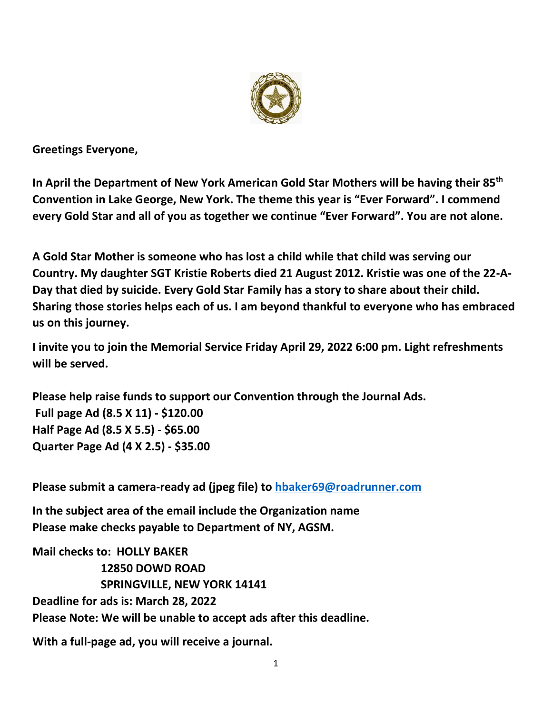

**Greetings Everyone,**

**In April the Department of New York American Gold Star Mothers will be having their 85th Convention in Lake George, New York. The theme this year is "Ever Forward". I commend every Gold Star and all of you as together we continue "Ever Forward". You are not alone.**

**A Gold Star Mother is someone who has lost a child while that child was serving our Country. My daughter SGT Kristie Roberts died 21 August 2012. Kristie was one of the 22-A-Day that died by suicide. Every Gold Star Family has a story to share about their child. Sharing those stories helps each of us. I am beyond thankful to everyone who has embraced us on this journey.**

**I invite you to join the Memorial Service Friday April 29, 2022 6:00 pm. Light refreshments will be served.**

**Please help raise funds to support our Convention through the Journal Ads. Full page Ad (8.5 X 11) - \$120.00 Half Page Ad (8.5 X 5.5) - \$65.00 Quarter Page Ad (4 X 2.5) - \$35.00** 

**Please submit a camera-ready ad (jpeg file) to [hbaker69@roadrunner.com](mailto:hbaker69@roadrunner.com)**

**In the subject area of the email include the Organization name Please make checks payable to Department of NY, AGSM.**

**Mail checks to: HOLLY BAKER 12850 DOWD ROAD SPRINGVILLE, NEW YORK 14141 Deadline for ads is: March 28, 2022 Please Note: We will be unable to accept ads after this deadline.**

**With a full-page ad, you will receive a journal.**